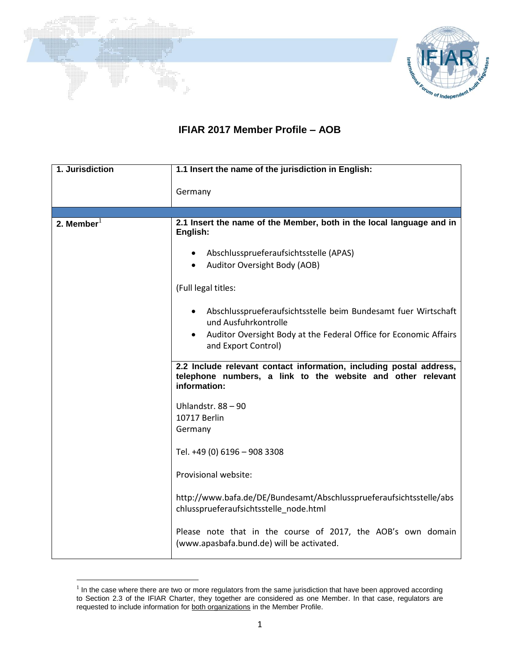



## **IFIAR 2017 Member Profile – AOB**

| 1. Jurisdiction | 1.1 Insert the name of the jurisdiction in English:                                                                                                                                                                                                                                                                                                                                                                                                                                                                                                                                                                                                                                                                                                                                                                                                                                            |
|-----------------|------------------------------------------------------------------------------------------------------------------------------------------------------------------------------------------------------------------------------------------------------------------------------------------------------------------------------------------------------------------------------------------------------------------------------------------------------------------------------------------------------------------------------------------------------------------------------------------------------------------------------------------------------------------------------------------------------------------------------------------------------------------------------------------------------------------------------------------------------------------------------------------------|
|                 | Germany                                                                                                                                                                                                                                                                                                                                                                                                                                                                                                                                                                                                                                                                                                                                                                                                                                                                                        |
|                 |                                                                                                                                                                                                                                                                                                                                                                                                                                                                                                                                                                                                                                                                                                                                                                                                                                                                                                |
| 2. Member $1$   | 2.1 Insert the name of the Member, both in the local language and in<br>English:<br>Abschlussprueferaufsichtsstelle (APAS)<br>$\bullet$<br>Auditor Oversight Body (AOB)<br>(Full legal titles:<br>Abschlussprueferaufsichtsstelle beim Bundesamt fuer Wirtschaft<br>und Ausfuhrkontrolle<br>Auditor Oversight Body at the Federal Office for Economic Affairs<br>$\bullet$<br>and Export Control)<br>2.2 Include relevant contact information, including postal address,<br>telephone numbers, a link to the website and other relevant<br>information:<br>Uhlandstr. 88 - 90<br>10717 Berlin<br>Germany<br>Tel. +49 (0) 6196 - 908 3308<br>Provisional website:<br>http://www.bafa.de/DE/Bundesamt/Abschlussprueferaufsichtsstelle/abs<br>chlussprueferaufsichtsstelle_node.html<br>Please note that in the course of 2017, the AOB's own domain<br>(www.apasbafa.bund.de) will be activated. |

In the case where there are two or more regulators from the same jurisdiction that have been approved according to Section 2.3 of the IFIAR Charter, they together are considered as one Member. In that case, regulators are requested to include information for both organizations in the Member Profile.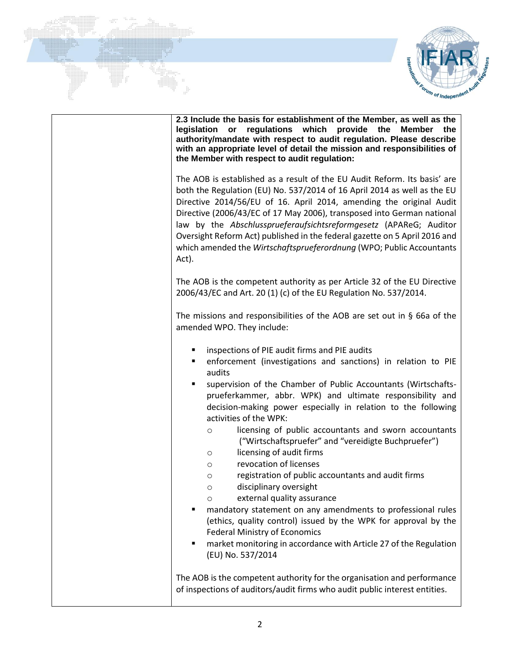



| 2.3 Include the basis for establishment of the Member, as well as the<br>regulations which<br>provide the<br>legislation<br>or<br><b>Member</b><br>the<br>authority/mandate with respect to audit regulation. Please describe<br>with an appropriate level of detail the mission and responsibilities of<br>the Member with respect to audit regulation:                                                                                                                                                                                                                                                                                                                                                                                                                                                                                                                                                                                                                                        |
|-------------------------------------------------------------------------------------------------------------------------------------------------------------------------------------------------------------------------------------------------------------------------------------------------------------------------------------------------------------------------------------------------------------------------------------------------------------------------------------------------------------------------------------------------------------------------------------------------------------------------------------------------------------------------------------------------------------------------------------------------------------------------------------------------------------------------------------------------------------------------------------------------------------------------------------------------------------------------------------------------|
| The AOB is established as a result of the EU Audit Reform. Its basis' are<br>both the Regulation (EU) No. 537/2014 of 16 April 2014 as well as the EU<br>Directive 2014/56/EU of 16. April 2014, amending the original Audit<br>Directive (2006/43/EC of 17 May 2006), transposed into German national<br>law by the Abschlussprueferaufsichtsreformgesetz (APAReG; Auditor<br>Oversight Reform Act) published in the federal gazette on 5 April 2016 and<br>which amended the Wirtschaftsprueferordnung (WPO; Public Accountants<br>Act).                                                                                                                                                                                                                                                                                                                                                                                                                                                      |
| The AOB is the competent authority as per Article 32 of the EU Directive<br>2006/43/EC and Art. 20 (1) (c) of the EU Regulation No. 537/2014.                                                                                                                                                                                                                                                                                                                                                                                                                                                                                                                                                                                                                                                                                                                                                                                                                                                   |
| The missions and responsibilities of the AOB are set out in $\S$ 66a of the<br>amended WPO. They include:                                                                                                                                                                                                                                                                                                                                                                                                                                                                                                                                                                                                                                                                                                                                                                                                                                                                                       |
| inspections of PIE audit firms and PIE audits<br>٠<br>enforcement (investigations and sanctions) in relation to PIE<br>٠<br>audits<br>supervision of the Chamber of Public Accountants (Wirtschafts-<br>٠<br>prueferkammer, abbr. WPK) and ultimate responsibility and<br>decision-making power especially in relation to the following<br>activities of the WPK:<br>licensing of public accountants and sworn accountants<br>$\circ$<br>("Wirtschaftspruefer" and "vereidigte Buchpruefer")<br>licensing of audit firms<br>$\circ$<br>revocation of licenses<br>$\circ$<br>registration of public accountants and audit firms<br>$\circ$<br>disciplinary oversight<br>O<br>external quality assurance<br>$\circ$<br>mandatory statement on any amendments to professional rules<br>٠<br>(ethics, quality control) issued by the WPK for approval by the<br><b>Federal Ministry of Economics</b><br>market monitoring in accordance with Article 27 of the Regulation<br>٠<br>(EU) No. 537/2014 |
| The AOB is the competent authority for the organisation and performance<br>of inspections of auditors/audit firms who audit public interest entities.                                                                                                                                                                                                                                                                                                                                                                                                                                                                                                                                                                                                                                                                                                                                                                                                                                           |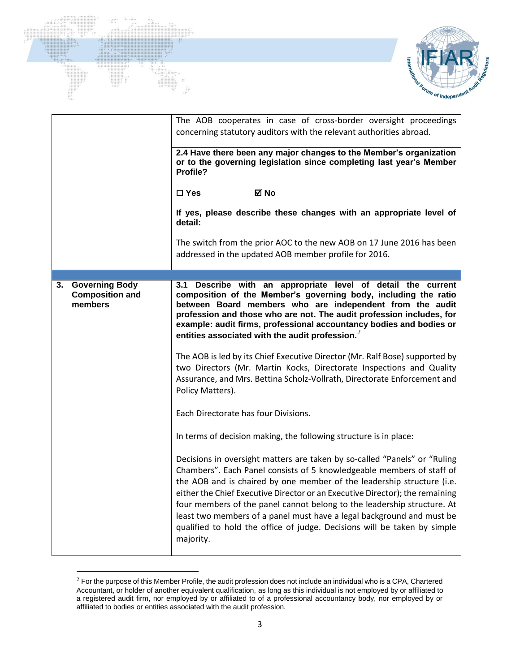



|                                                                  | The AOB cooperates in case of cross-border oversight proceedings<br>concerning statutory auditors with the relevant authorities abroad.<br>2.4 Have there been any major changes to the Member's organization<br>or to the governing legislation since completing last year's Member<br>Profile?<br>⊠ No<br>$\square$ Yes<br>If yes, please describe these changes with an appropriate level of<br>detail:                                                                                                                                                          |  |
|------------------------------------------------------------------|---------------------------------------------------------------------------------------------------------------------------------------------------------------------------------------------------------------------------------------------------------------------------------------------------------------------------------------------------------------------------------------------------------------------------------------------------------------------------------------------------------------------------------------------------------------------|--|
|                                                                  | The switch from the prior AOC to the new AOB on 17 June 2016 has been<br>addressed in the updated AOB member profile for 2016.                                                                                                                                                                                                                                                                                                                                                                                                                                      |  |
|                                                                  |                                                                                                                                                                                                                                                                                                                                                                                                                                                                                                                                                                     |  |
| <b>Governing Body</b><br>3.<br><b>Composition and</b><br>members | Describe with an appropriate level of detail the current<br>3.1<br>composition of the Member's governing body, including the ratio<br>between Board members who are independent from the audit<br>profession and those who are not. The audit profession includes, for<br>example: audit firms, professional accountancy bodies and bodies or<br>entities associated with the audit profession. <sup>2</sup><br>The AOB is led by its Chief Executive Director (Mr. Ralf Bose) supported by<br>two Directors (Mr. Martin Kocks, Directorate Inspections and Quality |  |
|                                                                  | Assurance, and Mrs. Bettina Scholz-Vollrath, Directorate Enforcement and<br>Policy Matters).<br>Each Directorate has four Divisions.                                                                                                                                                                                                                                                                                                                                                                                                                                |  |
|                                                                  | In terms of decision making, the following structure is in place:                                                                                                                                                                                                                                                                                                                                                                                                                                                                                                   |  |
|                                                                  | Decisions in oversight matters are taken by so-called "Panels" or "Ruling<br>Chambers". Each Panel consists of 5 knowledgeable members of staff of<br>the AOB and is chaired by one member of the leadership structure (i.e.<br>either the Chief Executive Director or an Executive Director); the remaining<br>four members of the panel cannot belong to the leadership structure. At<br>least two members of a panel must have a legal background and must be<br>qualified to hold the office of judge. Decisions will be taken by simple<br>majority.           |  |

 $^2$  For the purpose of this Member Profile, the audit profession does not include an individual who is a CPA, Chartered Accountant, or holder of another equivalent qualification, as long as this individual is not employed by or affiliated to a registered audit firm, nor employed by or affiliated to of a professional accountancy body, nor employed by or affiliated to bodies or entities associated with the audit profession.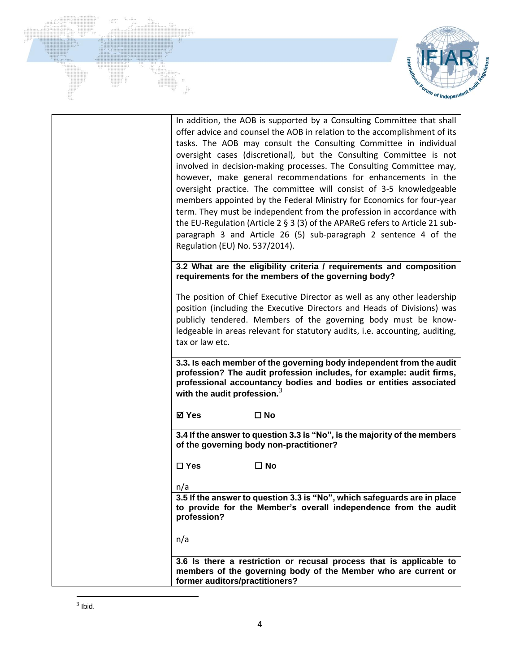

| Regulation (EU) No. 537/2014).          | In addition, the AOB is supported by a Consulting Committee that shall<br>offer advice and counsel the AOB in relation to the accomplishment of its<br>tasks. The AOB may consult the Consulting Committee in individual<br>oversight cases (discretional), but the Consulting Committee is not<br>involved in decision-making processes. The Consulting Committee may,<br>however, make general recommendations for enhancements in the<br>oversight practice. The committee will consist of 3-5 knowledgeable<br>members appointed by the Federal Ministry for Economics for four-year<br>term. They must be independent from the profession in accordance with<br>the EU-Regulation (Article 2 § 3 (3) of the APAReG refers to Article 21 sub-<br>paragraph 3 and Article 26 (5) sub-paragraph 2 sentence 4 of the |
|-----------------------------------------|-----------------------------------------------------------------------------------------------------------------------------------------------------------------------------------------------------------------------------------------------------------------------------------------------------------------------------------------------------------------------------------------------------------------------------------------------------------------------------------------------------------------------------------------------------------------------------------------------------------------------------------------------------------------------------------------------------------------------------------------------------------------------------------------------------------------------|
|                                         | 3.2 What are the eligibility criteria / requirements and composition<br>requirements for the members of the governing body?                                                                                                                                                                                                                                                                                                                                                                                                                                                                                                                                                                                                                                                                                           |
| tax or law etc.                         | The position of Chief Executive Director as well as any other leadership<br>position (including the Executive Directors and Heads of Divisions) was<br>publicly tendered. Members of the governing body must be know-<br>ledgeable in areas relevant for statutory audits, i.e. accounting, auditing,                                                                                                                                                                                                                                                                                                                                                                                                                                                                                                                 |
| with the audit profession. <sup>3</sup> | 3.3. Is each member of the governing body independent from the audit<br>profession? The audit profession includes, for example: audit firms,<br>professional accountancy bodies and bodies or entities associated                                                                                                                                                                                                                                                                                                                                                                                                                                                                                                                                                                                                     |
| <b>⊠</b> Yes                            | $\square$ No                                                                                                                                                                                                                                                                                                                                                                                                                                                                                                                                                                                                                                                                                                                                                                                                          |
|                                         | 3.4 If the answer to question 3.3 is "No", is the majority of the members<br>of the governing body non-practitioner?                                                                                                                                                                                                                                                                                                                                                                                                                                                                                                                                                                                                                                                                                                  |
| $\square$ Yes                           | $\square$ No                                                                                                                                                                                                                                                                                                                                                                                                                                                                                                                                                                                                                                                                                                                                                                                                          |
| n/a<br>profession?<br>n/a               | 3.5 If the answer to question 3.3 is "No", which safeguards are in place<br>to provide for the Member's overall independence from the audit                                                                                                                                                                                                                                                                                                                                                                                                                                                                                                                                                                                                                                                                           |
| former auditors/practitioners?          | 3.6 Is there a restriction or recusal process that is applicable to<br>members of the governing body of the Member who are current or                                                                                                                                                                                                                                                                                                                                                                                                                                                                                                                                                                                                                                                                                 |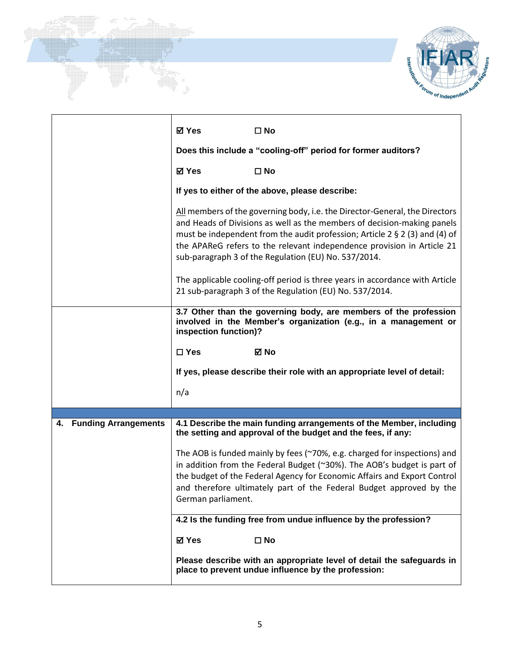



|                         | ⊠ Yes<br>$\square$ No                                                                                                                                                                                                                                                                                                                                                   |
|-------------------------|-------------------------------------------------------------------------------------------------------------------------------------------------------------------------------------------------------------------------------------------------------------------------------------------------------------------------------------------------------------------------|
|                         | Does this include a "cooling-off" period for former auditors?                                                                                                                                                                                                                                                                                                           |
|                         | <b>⊠</b> Yes<br>$\square$ No                                                                                                                                                                                                                                                                                                                                            |
|                         | If yes to either of the above, please describe:                                                                                                                                                                                                                                                                                                                         |
|                         | All members of the governing body, i.e. the Director-General, the Directors<br>and Heads of Divisions as well as the members of decision-making panels<br>must be independent from the audit profession; Article 2 § 2 (3) and (4) of<br>the APAReG refers to the relevant independence provision in Article 21<br>sub-paragraph 3 of the Regulation (EU) No. 537/2014. |
|                         | The applicable cooling-off period is three years in accordance with Article<br>21 sub-paragraph 3 of the Regulation (EU) No. 537/2014.                                                                                                                                                                                                                                  |
|                         | 3.7 Other than the governing body, are members of the profession<br>involved in the Member's organization (e.g., in a management or<br>inspection function)?                                                                                                                                                                                                            |
|                         | $\square$ Yes<br>⊠ No                                                                                                                                                                                                                                                                                                                                                   |
|                         | If yes, please describe their role with an appropriate level of detail:                                                                                                                                                                                                                                                                                                 |
|                         | n/a                                                                                                                                                                                                                                                                                                                                                                     |
|                         |                                                                                                                                                                                                                                                                                                                                                                         |
| 4. Funding Arrangements | 4.1 Describe the main funding arrangements of the Member, including<br>the setting and approval of the budget and the fees, if any:                                                                                                                                                                                                                                     |
|                         | The AOB is funded mainly by fees (~70%, e.g. charged for inspections) and<br>in addition from the Federal Budget (~30%). The AOB's budget is part of<br>the budget of the Federal Agency for Economic Affairs and Export Control<br>and therefore ultimately part of the Federal Budget approved by the<br>German parliament.                                           |
|                         | 4.2 Is the funding free from undue influence by the profession?                                                                                                                                                                                                                                                                                                         |
|                         | <b>⊠</b> Yes<br>$\square$ No                                                                                                                                                                                                                                                                                                                                            |
|                         | Please describe with an appropriate level of detail the safeguards in<br>place to prevent undue influence by the profession:                                                                                                                                                                                                                                            |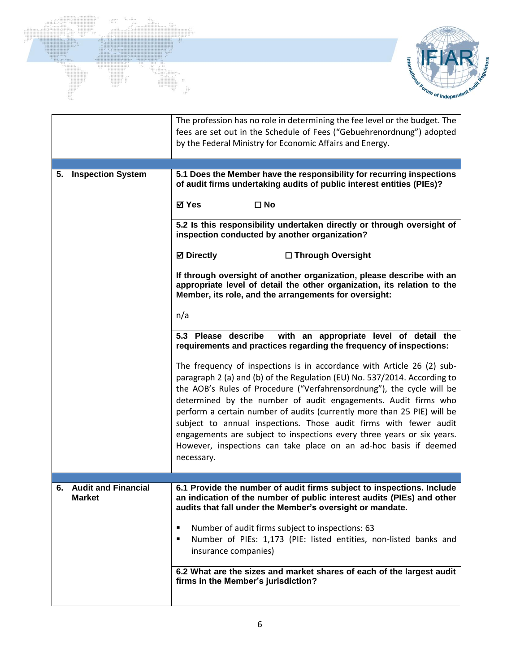



|                                         | The profession has no role in determining the fee level or the budget. The<br>fees are set out in the Schedule of Fees ("Gebuehrenordnung") adopted<br>by the Federal Ministry for Economic Affairs and Energy.                                                                                                                                                                                                                                                                                                                                                                                            |
|-----------------------------------------|------------------------------------------------------------------------------------------------------------------------------------------------------------------------------------------------------------------------------------------------------------------------------------------------------------------------------------------------------------------------------------------------------------------------------------------------------------------------------------------------------------------------------------------------------------------------------------------------------------|
|                                         |                                                                                                                                                                                                                                                                                                                                                                                                                                                                                                                                                                                                            |
| <b>Inspection System</b><br>5.          | 5.1 Does the Member have the responsibility for recurring inspections<br>of audit firms undertaking audits of public interest entities (PIEs)?<br><b>⊠</b> Yes<br>$\square$ No                                                                                                                                                                                                                                                                                                                                                                                                                             |
|                                         | 5.2 Is this responsibility undertaken directly or through oversight of<br>inspection conducted by another organization?                                                                                                                                                                                                                                                                                                                                                                                                                                                                                    |
|                                         | <b>☑</b> Directly<br>□ Through Oversight                                                                                                                                                                                                                                                                                                                                                                                                                                                                                                                                                                   |
|                                         | If through oversight of another organization, please describe with an<br>appropriate level of detail the other organization, its relation to the<br>Member, its role, and the arrangements for oversight:                                                                                                                                                                                                                                                                                                                                                                                                  |
|                                         | n/a                                                                                                                                                                                                                                                                                                                                                                                                                                                                                                                                                                                                        |
|                                         | 5.3 Please describe<br>with an appropriate level of detail the<br>requirements and practices regarding the frequency of inspections:                                                                                                                                                                                                                                                                                                                                                                                                                                                                       |
|                                         | The frequency of inspections is in accordance with Article 26 (2) sub-<br>paragraph 2 (a) and (b) of the Regulation (EU) No. 537/2014. According to<br>the AOB's Rules of Procedure ("Verfahrensordnung"), the cycle will be<br>determined by the number of audit engagements. Audit firms who<br>perform a certain number of audits (currently more than 25 PIE) will be<br>subject to annual inspections. Those audit firms with fewer audit<br>engagements are subject to inspections every three years or six years.<br>However, inspections can take place on an ad-hoc basis if deemed<br>necessary. |
|                                         |                                                                                                                                                                                                                                                                                                                                                                                                                                                                                                                                                                                                            |
| 6. Audit and Financial<br><b>Market</b> | 6.1 Provide the number of audit firms subject to inspections. Include<br>an indication of the number of public interest audits (PIEs) and other<br>audits that fall under the Member's oversight or mandate.<br>Number of audit firms subject to inspections: 63<br>٠<br>Number of PIEs: 1,173 (PIE: listed entities, non-listed banks and<br>٠<br>insurance companies)<br>6.2 What are the sizes and market shares of each of the largest audit<br>firms in the Member's jurisdiction?                                                                                                                    |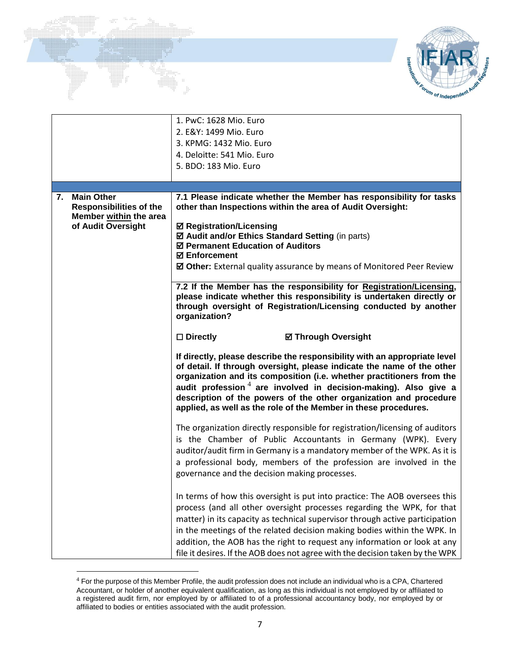

|                                               |                                                          | 1. PwC: 1628 Mio. Euro<br>2. E&Y: 1499 Mio. Euro<br>3. KPMG: 1432 Mio. Euro<br>4. Deloitte: 541 Mio. Euro<br>5. BDO: 183 Mio. Euro                                                                                                                                                                                                                                                                                                                                             |
|-----------------------------------------------|----------------------------------------------------------|--------------------------------------------------------------------------------------------------------------------------------------------------------------------------------------------------------------------------------------------------------------------------------------------------------------------------------------------------------------------------------------------------------------------------------------------------------------------------------|
|                                               |                                                          |                                                                                                                                                                                                                                                                                                                                                                                                                                                                                |
| <b>Main Other</b><br>7.<br>of Audit Oversight | <b>Responsibilities of the</b><br>Member within the area | 7.1 Please indicate whether the Member has responsibility for tasks<br>other than Inspections within the area of Audit Oversight:<br><b>Ø Registration/Licensing</b><br>☑ Audit and/or Ethics Standard Setting (in parts)<br>☑ Permanent Education of Auditors<br><b>☑ Enforcement</b><br>☑ Other: External quality assurance by means of Monitored Peer Review                                                                                                                |
|                                               |                                                          | 7.2 If the Member has the responsibility for Registration/Licensing,<br>please indicate whether this responsibility is undertaken directly or<br>through oversight of Registration/Licensing conducted by another<br>organization?                                                                                                                                                                                                                                             |
|                                               |                                                          | $\square$ Directly<br><b>Ø Through Oversight</b>                                                                                                                                                                                                                                                                                                                                                                                                                               |
|                                               |                                                          | If directly, please describe the responsibility with an appropriate level<br>of detail. If through oversight, please indicate the name of the other<br>organization and its composition (i.e. whether practitioners from the<br>audit profession $4$ are involved in decision-making). Also give a<br>description of the powers of the other organization and procedure<br>applied, as well as the role of the Member in these procedures.                                     |
|                                               |                                                          | The organization directly responsible for registration/licensing of auditors<br>is the Chamber of Public Accountants in Germany (WPK). Every<br>auditor/audit firm in Germany is a mandatory member of the WPK. As it is<br>a professional body, members of the profession are involved in the<br>governance and the decision making processes.                                                                                                                                |
|                                               |                                                          | In terms of how this oversight is put into practice: The AOB oversees this<br>process (and all other oversight processes regarding the WPK, for that<br>matter) in its capacity as technical supervisor through active participation<br>in the meetings of the related decision making bodies within the WPK. In<br>addition, the AOB has the right to request any information or look at any<br>file it desires. If the AOB does not agree with the decision taken by the WPK |

Forum of Independent

 $4$  For the purpose of this Member Profile, the audit profession does not include an individual who is a CPA, Chartered Accountant, or holder of another equivalent qualification, as long as this individual is not employed by or affiliated to a registered audit firm, nor employed by or affiliated to of a professional accountancy body, nor employed by or affiliated to bodies or entities associated with the audit profession.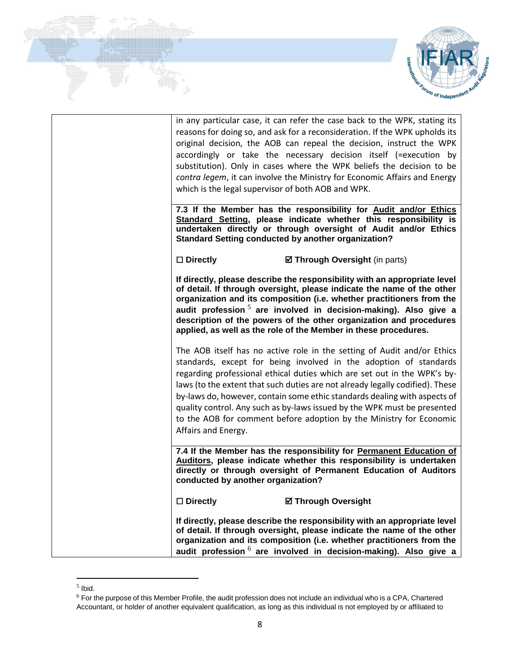



| in any particular case, it can refer the case back to the WPK, stating its<br>reasons for doing so, and ask for a reconsideration. If the WPK upholds its<br>original decision, the AOB can repeal the decision, instruct the WPK<br>accordingly or take the necessary decision itself (=execution by<br>substitution). Only in cases where the WPK beliefs the decision to be<br>contra legem, it can involve the Ministry for Economic Affairs and Energy<br>which is the legal supervisor of both AOB and WPK.                                                |
|------------------------------------------------------------------------------------------------------------------------------------------------------------------------------------------------------------------------------------------------------------------------------------------------------------------------------------------------------------------------------------------------------------------------------------------------------------------------------------------------------------------------------------------------------------------|
| 7.3 If the Member has the responsibility for Audit and/or Ethics<br>Standard Setting, please indicate whether this responsibility is<br>undertaken directly or through oversight of Audit and/or Ethics<br><b>Standard Setting conducted by another organization?</b>                                                                                                                                                                                                                                                                                            |
| $\square$ Directly<br>☑ Through Oversight (in parts)                                                                                                                                                                                                                                                                                                                                                                                                                                                                                                             |
| If directly, please describe the responsibility with an appropriate level<br>of detail. If through oversight, please indicate the name of the other<br>organization and its composition (i.e. whether practitioners from the<br>audit profession $5$ are involved in decision-making). Also give a<br>description of the powers of the other organization and procedures<br>applied, as well as the role of the Member in these procedures.                                                                                                                      |
| The AOB itself has no active role in the setting of Audit and/or Ethics<br>standards, except for being involved in the adoption of standards<br>regarding professional ethical duties which are set out in the WPK's by-<br>laws (to the extent that such duties are not already legally codified). These<br>by-laws do, however, contain some ethic standards dealing with aspects of<br>quality control. Any such as by-laws issued by the WPK must be presented<br>to the AOB for comment before adoption by the Ministry for Economic<br>Affairs and Energy. |
| 7.4 If the Member has the responsibility for Permanent Education of<br>Auditors, please indicate whether this responsibility is undertaken<br>directly or through oversight of Permanent Education of Auditors<br>conducted by another organization?                                                                                                                                                                                                                                                                                                             |
| $\square$ Directly<br><b>Ø Through Oversight</b>                                                                                                                                                                                                                                                                                                                                                                                                                                                                                                                 |
| If directly, please describe the responsibility with an appropriate level<br>of detail. If through oversight, please indicate the name of the other<br>organization and its composition (i.e. whether practitioners from the<br>audit profession <sup>6</sup> are involved in decision-making). Also give a                                                                                                                                                                                                                                                      |

<sup>5</sup> Ibid.

 $^6$  For the purpose of this Member Profile, the audit profession does not include an individual who is a CPA, Chartered Accountant, or holder of another equivalent qualification, as long as this individual is not employed by or affiliated to